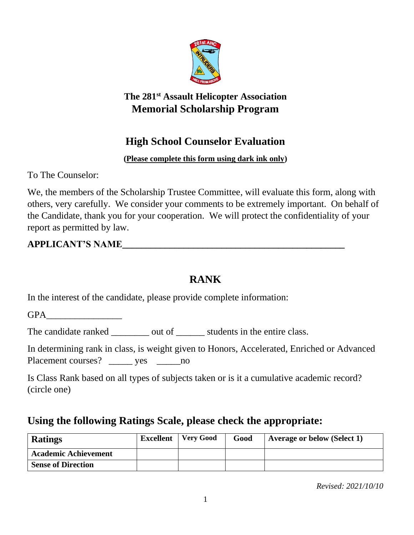

### **The 281st Assault Helicopter Association Memorial Scholarship Program**

# **High School Counselor Evaluation**

### **(Please complete this form using dark ink only)**

To The Counselor:

We, the members of the Scholarship Trustee Committee, will evaluate this form, along with others, very carefully. We consider your comments to be extremely important. On behalf of the Candidate, thank you for your cooperation. We will protect the confidentiality of your report as permitted by law.

## **APPLICANT'S NAME\_\_\_\_\_\_\_\_\_\_\_\_\_\_\_\_\_\_\_\_\_\_\_\_\_\_\_\_\_\_\_\_\_\_\_\_\_\_\_\_\_\_\_\_\_\_\_**

# **RANK**

In the interest of the candidate, please provide complete information:

GPA

The candidate ranked \_\_\_\_\_\_\_\_ out of \_\_\_\_\_\_\_ students in the entire class.

In determining rank in class, is weight given to Honors, Accelerated, Enriched or Advanced Placement courses? \_\_\_\_\_\_ yes \_\_\_\_\_\_ no

Is Class Rank based on all types of subjects taken or is it a cumulative academic record? (circle one)

# **Using the following Ratings Scale, please check the appropriate:**

| <b>Ratings</b>              | <b>Excellent</b> | Very Good | Good | Average or below (Select 1) |
|-----------------------------|------------------|-----------|------|-----------------------------|
| <b>Academic Achievement</b> |                  |           |      |                             |
| <b>Sense of Direction</b>   |                  |           |      |                             |

*Revised: 2021/10/10*